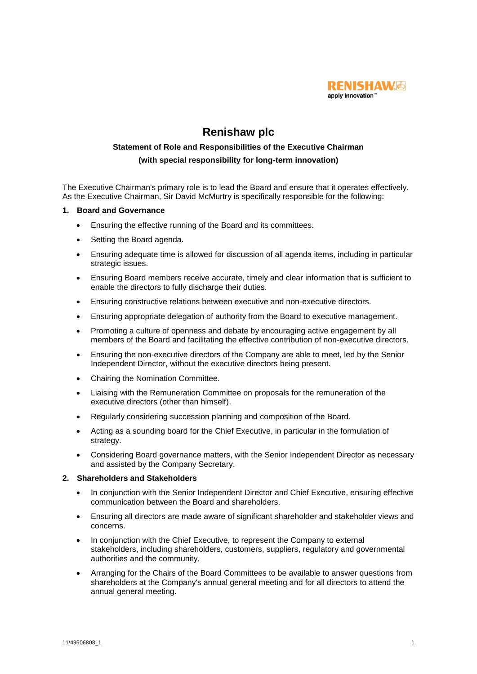

# **Renishaw plc**

# **Statement of Role and Responsibilities of the Executive Chairman**

## **(with special responsibility for long-term innovation)**

The Executive Chairman's primary role is to lead the Board and ensure that it operates effectively. As the Executive Chairman, Sir David McMurtry is specifically responsible for the following:

#### **1. Board and Governance**

- Ensuring the effective running of the Board and its committees.
- Setting the Board agenda.
- Ensuring adequate time is allowed for discussion of all agenda items, including in particular strategic issues.
- Ensuring Board members receive accurate, timely and clear information that is sufficient to enable the directors to fully discharge their duties.
- Ensuring constructive relations between executive and non-executive directors.
- Ensuring appropriate delegation of authority from the Board to executive management.
- Promoting a culture of openness and debate by encouraging active engagement by all members of the Board and facilitating the effective contribution of non-executive directors.
- Ensuring the non-executive directors of the Company are able to meet, led by the Senior Independent Director, without the executive directors being present.
- Chairing the Nomination Committee.
- Liaising with the Remuneration Committee on proposals for the remuneration of the executive directors (other than himself).
- Regularly considering succession planning and composition of the Board.
- Acting as a sounding board for the Chief Executive, in particular in the formulation of strategy.
- Considering Board governance matters, with the Senior Independent Director as necessary and assisted by the Company Secretary.

#### **2. Shareholders and Stakeholders**

- In conjunction with the Senior Independent Director and Chief Executive, ensuring effective communication between the Board and shareholders.
- Ensuring all directors are made aware of significant shareholder and stakeholder views and concerns.
- In conjunction with the Chief Executive, to represent the Company to external stakeholders, including shareholders, customers, suppliers, regulatory and governmental authorities and the community.
- Arranging for the Chairs of the Board Committees to be available to answer questions from shareholders at the Company's annual general meeting and for all directors to attend the annual general meeting.